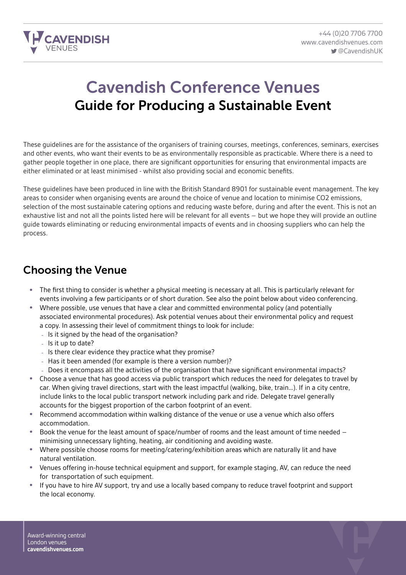

# Cavendish Conference Venues Guide for Producing a Sustainable Event

These guidelines are for the assistance of the organisers of training courses, meetings, conferences, seminars, exercises and other events, who want their events to be as environmentally responsible as practicable. Where there is a need to gather people together in one place, there are significant opportunities for ensuring that environmental impacts are either eliminated or at least minimised - whilst also providing social and economic benefits.

These guidelines have been produced in line with the British Standard 8901 for sustainable event management. The key areas to consider when organising events are around the choice of venue and location to minimise CO2 emissions, selection of the most sustainable catering options and reducing waste before, during and after the event. This is not an exhaustive list and not all the points listed here will be relevant for all events – but we hope they will provide an outline guide towards eliminating or reducing environmental impacts of events and in choosing suppliers who can help the process.

#### Choosing the Venue

- The first thing to consider is whether a physical meeting is necessary at all. This is particularly relevant for events involving a few participants or of short duration. See also the point below about video conferencing.
- Where possible, use venues that have a clear and committed environmental policy (and potentially associated environmental procedures). Ask potential venues about their environmental policy and request a copy. In assessing their level of commitment things to look for include:
	- Is it signed by the head of the organisation?
	- Is it up to date?
	- Is there clear evidence they practice what they promise?
	- Has it been amended (for example is there a version number)?
	- Does it encompass all the activities of the organisation that have significant environmental impacts?
- Choose a venue that has good access via public transport which reduces the need for delegates to travel by car. When giving travel directions, start with the least impactful (walking, bike, train…). If in a city centre, include links to the local public transport network including park and ride. Delegate travel generally accounts for the biggest proportion of the carbon footprint of an event.
- Recommend accommodation within walking distance of the venue or use a venue which also offers accommodation.
- Book the venue for the least amount of space/number of rooms and the least amount of time needed minimising unnecessary lighting, heating, air conditioning and avoiding waste.
- Where possible choose rooms for meeting/catering/exhibition areas which are naturally lit and have natural ventilation.
- Venues offering in-house technical equipment and support, for example staging, AV, can reduce the need for transportation of such equipment.
- If you have to hire AV support, try and use a locally based company to reduce travel footprint and support the local economy.

Award-winning central London venues **cavendishvenues.com**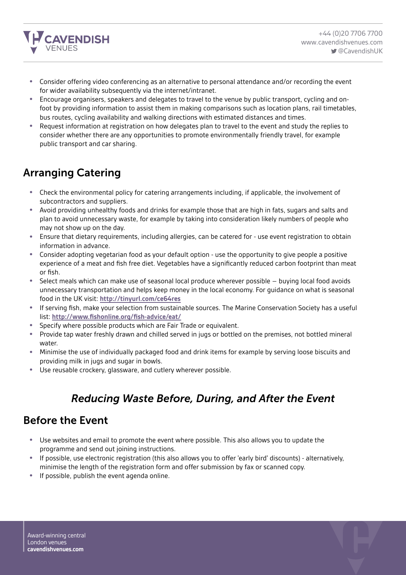

- Consider offering video conferencing as an alternative to personal attendance and/or recording the event for wider availability subsequently via the internet/intranet.
- Encourage organisers, speakers and delegates to travel to the venue by public transport, cycling and onfoot by providing information to assist them in making comparisons such as location plans, rail timetables, bus routes, cycling availability and walking directions with estimated distances and times.
- Request information at registration on how delegates plan to travel to the event and study the replies to consider whether there are any opportunities to promote environmentally friendly travel, for example public transport and car sharing.

### Arranging Catering

- Check the environmental policy for catering arrangements including, if applicable, the involvement of subcontractors and suppliers.
- Avoid providing unhealthy foods and drinks for example those that are high in fats, sugars and salts and plan to avoid unnecessary waste, for example by taking into consideration likely numbers of people who may not show up on the day.
- Ensure that dietary requirements, including allergies, can be catered for use event registration to obtain information in advance.
- Consider adopting vegetarian food as your default option use the opportunity to give people a positive experience of a meat and fish free diet. Vegetables have a significantly reduced carbon footprint than meat or fish.
- Select meals which can make use of seasonal local produce wherever possible buying local food avoids unnecessary transportation and helps keep money in the local economy. For guidance on what is seasonal food in the UK visit: **<http://tinyurl.com/ce64res>**
- If serving fish, make your selection from sustainable sources. The Marine Conservation Society has a useful list: **<http://www.fishonline.org/fish-advice/eat/>**
- Specify where possible products which are Fair Trade or equivalent.<br>• Provide tap water freshly drawn and chilled served in jugs or bottled
- Provide tap water freshly drawn and chilled served in jugs or bottled on the premises, not bottled mineral water.
- Minimise the use of individually packaged food and drink items for example by serving loose biscuits and providing milk in jugs and sugar in bowls.
- Use reusable crockery, glassware, and cutlery wherever possible.

# *Reducing Waste Before, During, and After the Event*

#### Before the Event

- Use websites and email to promote the event where possible. This also allows you to update the programme and send out joining instructions.
- If possible, use electronic registration (this also allows you to offer 'early bird' discounts) alternatively, minimise the length of the registration form and offer submission by fax or scanned copy.
- If possible, publish the event agenda online.